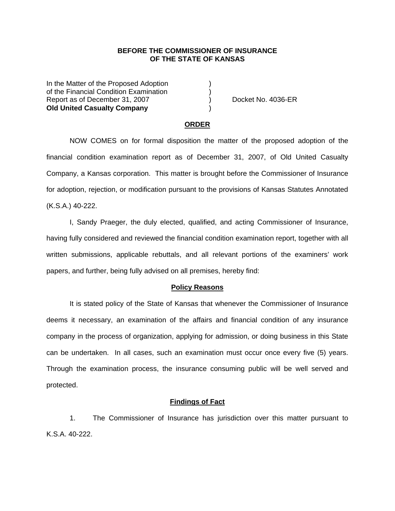## **BEFORE THE COMMISSIONER OF INSURANCE OF THE STATE OF KANSAS**

In the Matter of the Proposed Adoption of the Financial Condition Examination ) Report as of December 31, 2007 (and Separation Control Automatic Policies Report as of December 31, 2007) **Old United Casualty Company** )

#### **ORDER**

 NOW COMES on for formal disposition the matter of the proposed adoption of the financial condition examination report as of December 31, 2007, of Old United Casualty Company, a Kansas corporation. This matter is brought before the Commissioner of Insurance for adoption, rejection, or modification pursuant to the provisions of Kansas Statutes Annotated (K.S.A.) 40-222.

 I, Sandy Praeger, the duly elected, qualified, and acting Commissioner of Insurance, having fully considered and reviewed the financial condition examination report, together with all written submissions, applicable rebuttals, and all relevant portions of the examiners' work papers, and further, being fully advised on all premises, hereby find:

#### **Policy Reasons**

 It is stated policy of the State of Kansas that whenever the Commissioner of Insurance deems it necessary, an examination of the affairs and financial condition of any insurance company in the process of organization, applying for admission, or doing business in this State can be undertaken. In all cases, such an examination must occur once every five (5) years. Through the examination process, the insurance consuming public will be well served and protected.

## **Findings of Fact**

 1. The Commissioner of Insurance has jurisdiction over this matter pursuant to K.S.A. 40-222.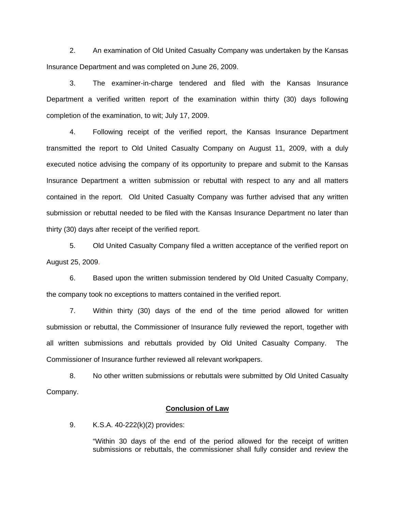2. An examination of Old United Casualty Company was undertaken by the Kansas Insurance Department and was completed on June 26, 2009.

 3. The examiner-in-charge tendered and filed with the Kansas Insurance Department a verified written report of the examination within thirty (30) days following completion of the examination, to wit; July 17, 2009.

 4. Following receipt of the verified report, the Kansas Insurance Department transmitted the report to Old United Casualty Company on August 11, 2009, with a duly executed notice advising the company of its opportunity to prepare and submit to the Kansas Insurance Department a written submission or rebuttal with respect to any and all matters contained in the report. Old United Casualty Company was further advised that any written submission or rebuttal needed to be filed with the Kansas Insurance Department no later than thirty (30) days after receipt of the verified report.

 5. Old United Casualty Company filed a written acceptance of the verified report on August 25, 2009.

6. Based upon the written submission tendered by Old United Casualty Company, the company took no exceptions to matters contained in the verified report.

 7. Within thirty (30) days of the end of the time period allowed for written submission or rebuttal, the Commissioner of Insurance fully reviewed the report, together with all written submissions and rebuttals provided by Old United Casualty Company. The Commissioner of Insurance further reviewed all relevant workpapers.

 8. No other written submissions or rebuttals were submitted by Old United Casualty Company.

## **Conclusion of Law**

9. K.S.A. 40-222(k)(2) provides:

"Within 30 days of the end of the period allowed for the receipt of written submissions or rebuttals, the commissioner shall fully consider and review the